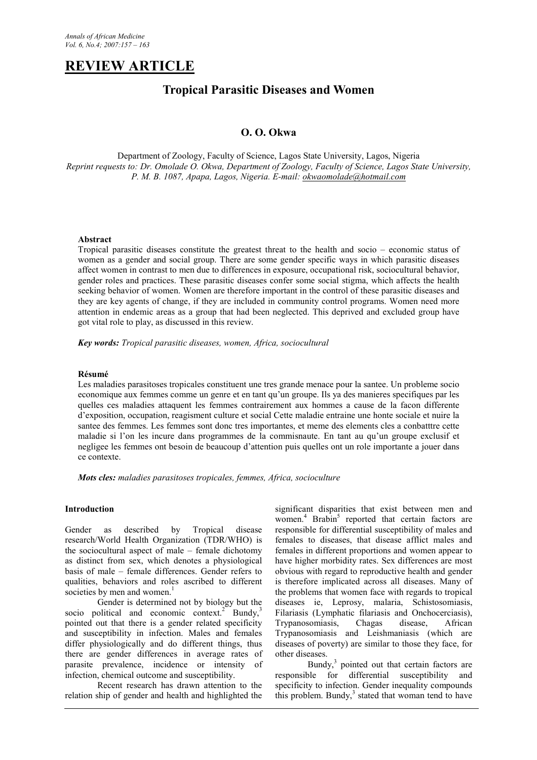# **REVIEW ARTICLE**

## **Tropical Parasitic Diseases and Women**

## **O. O. Okwa**

Department of Zoology, Faculty of Science, Lagos State University, Lagos, Nigeria *Reprint requests to: Dr. Omolade O. Okwa, Department of Zoology, Faculty of Science, Lagos State University, P. M. B. 1087, Apapa, Lagos, Nigeria. E-mail: okwaomolade@hotmail.com*

## **Abstract**

Tropical parasitic diseases constitute the greatest threat to the health and socio – economic status of women as a gender and social group. There are some gender specific ways in which parasitic diseases affect women in contrast to men due to differences in exposure, occupational risk, sociocultural behavior, gender roles and practices. These parasitic diseases confer some social stigma, which affects the health seeking behavior of women. Women are therefore important in the control of these parasitic diseases and they are key agents of change, if they are included in community control programs. Women need more attention in endemic areas as a group that had been neglected. This deprived and excluded group have got vital role to play, as discussed in this review.

*Key words: Tropical parasitic diseases, women, Africa, sociocultural*

## **Résumé**

Les maladies parasitoses tropicales constituent une tres grande menace pour la santee. Un probleme socio economique aux femmes comme un genre et en tant qu'un groupe. Ils ya des manieres specifiques par les quelles ces maladies attaquent les femmes contrairement aux hommes a cause de la facon differente d'exposition, occupation, reagisment culture et social Cette maladie entraine une honte sociale et nuire la santee des femmes. Les femmes sont donc tres importantes, et meme des elements cles a conbatttre cette maladie si l'on les incure dans programmes de la commisnaute. En tant au qu'un groupe exclusif et negligee les femmes ont besoin de beaucoup d'attention puis quelles ont un role importante a jouer dans ce contexte.

*Mots cles: maladies parasitoses tropicales, femmes, Africa, socioculture*

## **Introduction**

Gender as described by Tropical disease research/World Health Organization (TDR/WHO) is the sociocultural aspect of male – female dichotomy as distinct from sex, which denotes a physiological basis of male – female differences. Gender refers to qualities, behaviors and roles ascribed to different societies by men and women.<sup>1</sup>

Gender is determined not by biology but the socio political and economic context.<sup>2</sup> Bundy,<sup>3</sup> pointed out that there is a gender related specificity and susceptibility in infection. Males and females differ physiologically and do different things, thus there are gender differences in average rates of parasite prevalence, incidence or intensity of infection, chemical outcome and susceptibility.

Recent research has drawn attention to the relation ship of gender and health and highlighted the

significant disparities that exist between men and women.<sup>4</sup> Brabin<sup>5</sup> reported that certain factors are responsible for differential susceptibility of males and females to diseases, that disease afflict males and females in different proportions and women appear to have higher morbidity rates. Sex differences are most obvious with regard to reproductive health and gender is therefore implicated across all diseases. Many of the problems that women face with regards to tropical diseases ie, Leprosy, malaria, Schistosomiasis, Filariasis (Lymphatic filariasis and Onchocerciasis), Trypanosomiasis, Chagas disease, African Trypanosomiasis and Leishmaniasis (which are diseases of poverty) are similar to those they face, for other diseases.

Bundy,<sup>3</sup> pointed out that certain factors are responsible for differential susceptibility and specificity to infection. Gender inequality compounds this problem. Bundy, $3$  stated that woman tend to have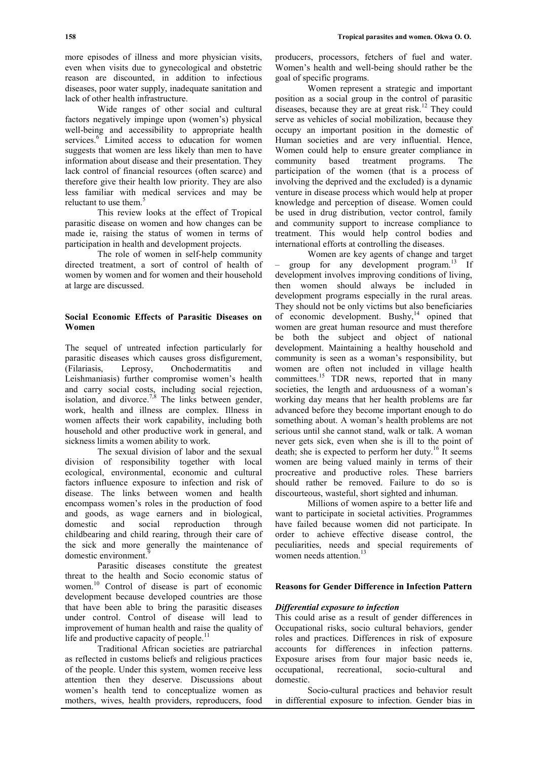more episodes of illness and more physician visits, even when visits due to gynecological and obstetric reason are discounted, in addition to infectious diseases, poor water supply, inadequate sanitation and lack of other health infrastructure.

Wide ranges of other social and cultural factors negatively impinge upon (women's) physical well-being and accessibility to appropriate health services.<sup>6</sup> Limited access to education for women suggests that women are less likely than men to have information about disease and their presentation. They lack control of financial resources (often scarce) and therefore give their health low priority. They are also less familiar with medical services and may be reluctant to use them.<sup>5</sup>

This review looks at the effect of Tropical parasitic disease on women and how changes can be made ie, raising the status of women in terms of participation in health and development projects.

The role of women in self-help community directed treatment, a sort of control of health of women by women and for women and their household at large are discussed.

## **Social Economic Effects of Parasitic Diseases on Women**

The sequel of untreated infection particularly for parasitic diseases which causes gross disfigurement, (Filariasis, Leprosy, Onchodermatitis and Leishmaniasis) further compromise women's health and carry social costs, including social rejection, isolation, and divorce.<sup>7,8</sup> The links between gender, work, health and illness are complex. Illness in women affects their work capability, including both household and other productive work in general, and sickness limits a women ability to work.

The sexual division of labor and the sexual division of responsibility together with local ecological, environmental, economic and cultural factors influence exposure to infection and risk of disease. The links between women and health encompass women's roles in the production of food and goods, as wage earners and in biological, domestic and social reproduction through childbearing and child rearing, through their care of the sick and more generally the maintenance of domestic environment.

Parasitic diseases constitute the greatest threat to the health and Socio economic status of women.<sup>10</sup> Control of disease is part of economic development because developed countries are those that have been able to bring the parasitic diseases under control. Control of disease will lead to improvement of human health and raise the quality of life and productive capacity of people. $^{11}$ 

Traditional African societies are patriarchal as reflected in customs beliefs and religious practices of the people. Under this system, women receive less attention then they deserve. Discussions about women's health tend to conceptualize women as mothers, wives, health providers, reproducers, food

producers, processors, fetchers of fuel and water. Women's health and well-being should rather be the goal of specific programs.

Women represent a strategic and important position as a social group in the control of parasitic diseases, because they are at great risk.<sup>12</sup> They could serve as vehicles of social mobilization, because they occupy an important position in the domestic of Human societies and are very influential. Hence, Women could help to ensure greater compliance in community based treatment programs. The participation of the women (that is a process of involving the deprived and the excluded) is a dynamic venture in disease process which would help at proper knowledge and perception of disease. Women could be used in drug distribution, vector control, family and community support to increase compliance to treatment. This would help control bodies and international efforts at controlling the diseases.

Women are key agents of change and target group for any development program. $13$  If development involves improving conditions of living, then women should always be included in development programs especially in the rural areas. They should not be only victims but also beneficiaries of economic development. Bushy,  $14$  opined that women are great human resource and must therefore be both the subject and object of national development. Maintaining a healthy household and community is seen as a woman's responsibility, but women are often not included in village health committees.<sup>15</sup> TDR news, reported that in many societies, the length and arduousness of a woman's working day means that her health problems are far advanced before they become important enough to do something about. A woman's health problems are not serious until she cannot stand, walk or talk. A woman never gets sick, even when she is ill to the point of death; she is expected to perform her duty.<sup>16</sup> It seems women are being valued mainly in terms of their procreative and productive roles. These barriers should rather be removed. Failure to do so is discourteous, wasteful, short sighted and inhuman.

Millions of women aspire to a better life and want to participate in societal activities. Programmes have failed because women did not participate. In order to achieve effective disease control, the peculiarities, needs and special requirements of women needs attention. $13$ 

## **Reasons for Gender Difference in Infection Pattern**

#### *Differential exposure to infection*

This could arise as a result of gender differences in Occupational risks, socio cultural behaviors, gender roles and practices. Differences in risk of exposure accounts for differences in infection patterns. Exposure arises from four major basic needs ie, occupational, recreational, socio-cultural and domestic.

Socio-cultural practices and behavior result in differential exposure to infection. Gender bias in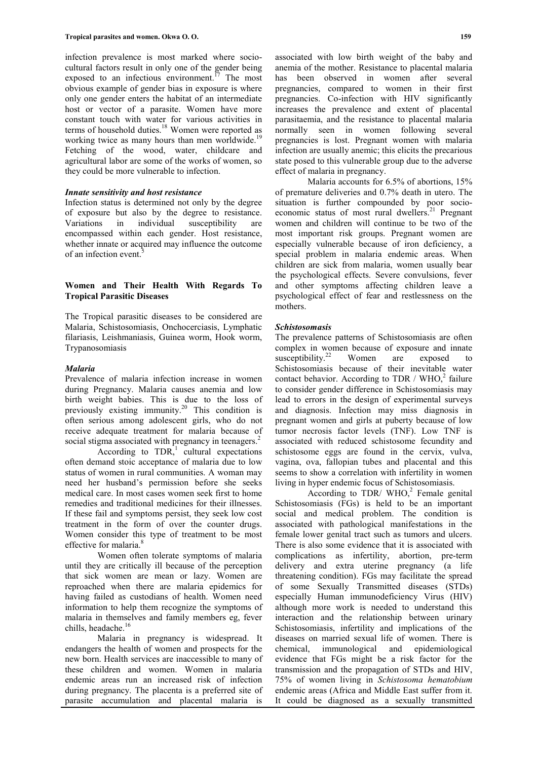infection prevalence is most marked where sociocultural factors result in only one of the gender being exposed to an infectious environment.<sup>17</sup> The most obvious example of gender bias in exposure is where only one gender enters the habitat of an intermediate host or vector of a parasite. Women have more constant touch with water for various activities in terms of household duties.<sup>18</sup> Women were reported as working twice as many hours than men worldwide.<sup>19</sup> Fetching of the wood, water, childcare and agricultural labor are some of the works of women, so they could be more vulnerable to infection.

## *Innate sensitivity and host resistance*

Infection status is determined not only by the degree of exposure but also by the degree to resistance. Variations in individual susceptibility are encompassed within each gender. Host resistance, whether innate or acquired may influence the outcome of an infection event. $\frac{3}{5}$ 

### **Women and Their Health With Regards To Tropical Parasitic Diseases**

The Tropical parasitic diseases to be considered are Malaria, Schistosomiasis, Onchocerciasis, Lymphatic filariasis, Leishmaniasis, Guinea worm, Hook worm, Trypanosomiasis

#### *Malaria*

Prevalence of malaria infection increase in women during Pregnancy. Malaria causes anemia and low birth weight babies. This is due to the loss of previously existing immunity.<sup>20</sup> This condition is often serious among adolescent girls, who do not receive adequate treatment for malaria because of social stigma associated with pregnancy in teenagers.<sup>2</sup>

According to  $TDR<sub>1</sub><sup>1</sup>$  cultural expectations often demand stoic acceptance of malaria due to low status of women in rural communities. A woman may need her husband's permission before she seeks medical care. In most cases women seek first to home remedies and traditional medicines for their illnesses. If these fail and symptoms persist, they seek low cost treatment in the form of over the counter drugs. Women consider this type of treatment to be most effective for malaria.<sup>8</sup>

Women often tolerate symptoms of malaria until they are critically ill because of the perception that sick women are mean or lazy. Women are reproached when there are malaria epidemics for having failed as custodians of health. Women need information to help them recognize the symptoms of malaria in themselves and family members eg, fever chills, headache.<sup>16</sup>

Malaria in pregnancy is widespread. It endangers the health of women and prospects for the new born. Health services are inaccessible to many of these children and women. Women in malaria endemic areas run an increased risk of infection during pregnancy. The placenta is a preferred site of parasite accumulation and placental malaria is

associated with low birth weight of the baby and anemia of the mother. Resistance to placental malaria has been observed in women after several pregnancies, compared to women in their first pregnancies. Co-infection with HIV significantly increases the prevalence and extent of placental parasitaemia, and the resistance to placental malaria normally seen in women following several pregnancies is lost. Pregnant women with malaria infection are usually anemic; this elicits the precarious state posed to this vulnerable group due to the adverse effect of malaria in pregnancy.

Malaria accounts for 6.5% of abortions, 15% of premature deliveries and 0.7% death in utero. The situation is further compounded by poor socioeconomic status of most rural dwellers.<sup>21</sup> Pregnant women and children will continue to be two of the most important risk groups. Pregnant women are especially vulnerable because of iron deficiency, a special problem in malaria endemic areas. When children are sick from malaria, women usually bear the psychological effects. Severe convulsions, fever and other symptoms affecting children leave a psychological effect of fear and restlessness on the mothers.

#### *Schistosomasis*

The prevalence patterns of Schistosomiasis are often complex in women because of exposure and innate susceptibility.<sup>22</sup> Women are exposed to Schistosomiasis because of their inevitable water contact behavior. According to TDR / WHO, $^{2}$  failure to consider gender difference in Schistosomiasis may lead to errors in the design of experimental surveys and diagnosis. Infection may miss diagnosis in pregnant women and girls at puberty because of low tumor necrosis factor levels (TNF). Low TNF is associated with reduced schistosome fecundity and schistosome eggs are found in the cervix, vulva, vagina, ova, fallopian tubes and placental and this seems to show a correlation with infertility in women living in hyper endemic focus of Schistosomiasis.

According to TDR/  $WHO<sub>2</sub><sup>2</sup>$  Female genital Schistosomiasis (FGs) is held to be an important social and medical problem. The condition is associated with pathological manifestations in the female lower genital tract such as tumors and ulcers. There is also some evidence that it is associated with complications as infertility, abortion, pre-term delivery and extra uterine pregnancy (a life threatening condition). FGs may facilitate the spread of some Sexually Transmitted diseases (STDs) especially Human immunodeficiency Virus (HIV) although more work is needed to understand this interaction and the relationship between urinary Schistosomiasis, infertility and implications of the diseases on married sexual life of women. There is chemical, immunological and epidemiological evidence that FGs might be a risk factor for the transmission and the propagation of STDs and HIV, 75% of women living in *Schistosoma hematobium* endemic areas (Africa and Middle East suffer from it. It could be diagnosed as a sexually transmitted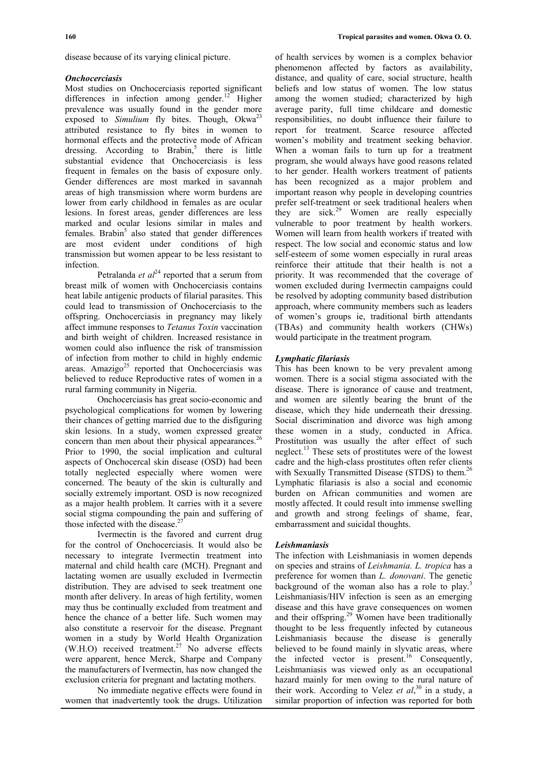disease because of its varying clinical picture.

#### *Onchocerciasis*

Most studies on Onchocerciasis reported significant differences in infection among gender.<sup>12</sup> Higher prevalence was usually found in the gender more exposed to *Simulium* fly bites. Though, Okwa<sup>23</sup> attributed resistance to fly bites in women to hormonal effects and the protective mode of African dressing. According to Brabin,<sup>5</sup> there is little substantial evidence that Onchocerciasis is less frequent in females on the basis of exposure only. Gender differences are most marked in savannah areas of high transmission where worm burdens are lower from early childhood in females as are ocular lesions. In forest areas, gender differences are less marked and ocular lesions similar in males and females. Brabin<sup>5</sup> also stated that gender differences are most evident under conditions of high transmission but women appear to be less resistant to infection.

Petralanda *et*  $al^{24}$  reported that a serum from breast milk of women with Onchocerciasis contains heat labile antigenic products of filarial parasites. This could lead to transmission of Onchocerciasis to the offspring. Onchocerciasis in pregnancy may likely affect immune responses to *Tetanus Toxin* vaccination and birth weight of children. Increased resistance in women could also influence the risk of transmission of infection from mother to child in highly endemic areas. Amazigo $^{25}$  reported that Onchocerciasis was believed to reduce Reproductive rates of women in a rural farming community in Nigeria.

Onchocerciasis has great socio-economic and psychological complications for women by lowering their chances of getting married due to the disfiguring skin lesions. In a study, women expressed greater concern than men about their physical appearances.<sup>26</sup> Prior to 1990, the social implication and cultural aspects of Onchocercal skin disease (OSD) had been totally neglected especially where women were concerned. The beauty of the skin is culturally and socially extremely important. OSD is now recognized as a major health problem. It carries with it a severe social stigma compounding the pain and suffering of those infected with the disease.<sup>2</sup>

Ivermectin is the favored and current drug for the control of Onchocerciasis. It would also be necessary to integrate Ivermectin treatment into maternal and child health care (MCH). Pregnant and lactating women are usually excluded in Ivermectin distribution. They are advised to seek treatment one month after delivery. In areas of high fertility, women may thus be continually excluded from treatment and hence the chance of a better life. Such women may also constitute a reservoir for the disease. Pregnant women in a study by World Health Organization  $(W.H.O)$  received treatment.<sup>27</sup> No adverse effects were apparent, hence Merck, Sharpe and Company the manufacturers of Ivermectin, has now changed the exclusion criteria for pregnant and lactating mothers.

No immediate negative effects were found in women that inadvertently took the drugs. Utilization

of health services by women is a complex behavior phenomenon affected by factors as availability, distance, and quality of care, social structure, health beliefs and low status of women. The low status among the women studied; characterized by high average parity, full time childcare and domestic responsibilities, no doubt influence their failure to report for treatment. Scarce resource affected women's mobility and treatment seeking behavior. When a woman fails to turn up for a treatment program, she would always have good reasons related to her gender. Health workers treatment of patients has been recognized as a major problem and important reason why people in developing countries prefer self-treatment or seek traditional healers when they are  $sick.<sup>29</sup>$  Women are really especially vulnerable to poor treatment by health workers. Women will learn from health workers if treated with respect. The low social and economic status and low self-esteem of some women especially in rural areas reinforce their attitude that their health is not a priority. It was recommended that the coverage of women excluded during Ivermectin campaigns could be resolved by adopting community based distribution approach, where community members such as leaders of women's groups ie, traditional birth attendants (TBAs) and community health workers (CHWs) would participate in the treatment program.

#### *Lymphatic filariasis*

This has been known to be very prevalent among women. There is a social stigma associated with the disease. There is ignorance of cause and treatment, and women are silently bearing the brunt of the disease, which they hide underneath their dressing. Social discrimination and divorce was high among these women in a study, conducted in Africa. Prostitution was usually the after effect of such neglect.<sup>13</sup> These sets of prostitutes were of the lowest cadre and the high-class prostitutes often refer clients with Sexually Transmitted Disease (STDS) to them.<sup>26</sup> Lymphatic filariasis is also a social and economic burden on African communities and women are mostly affected. It could result into immense swelling and growth and strong feelings of shame, fear, embarrassment and suicidal thoughts.

#### *Leishmaniasis*

The infection with Leishmaniasis in women depends on species and strains of *Leishmania. L. tropica* has a preference for women than *L. donovani*. The genetic background of the woman also has a role to play.<sup>3</sup> Leishmaniasis/HIV infection is seen as an emerging disease and this have grave consequences on women and their offspring.<sup>29</sup> Women have been traditionally thought to be less frequently infected by cutaneous Leishmaniasis because the disease is generally believed to be found mainly in slyvatic areas, where the infected vector is present.<sup>16</sup> Consequently, Leishmaniasis was viewed only as an occupational hazard mainly for men owing to the rural nature of their work. According to Velez *et al*, <sup>30</sup> in a study, a similar proportion of infection was reported for both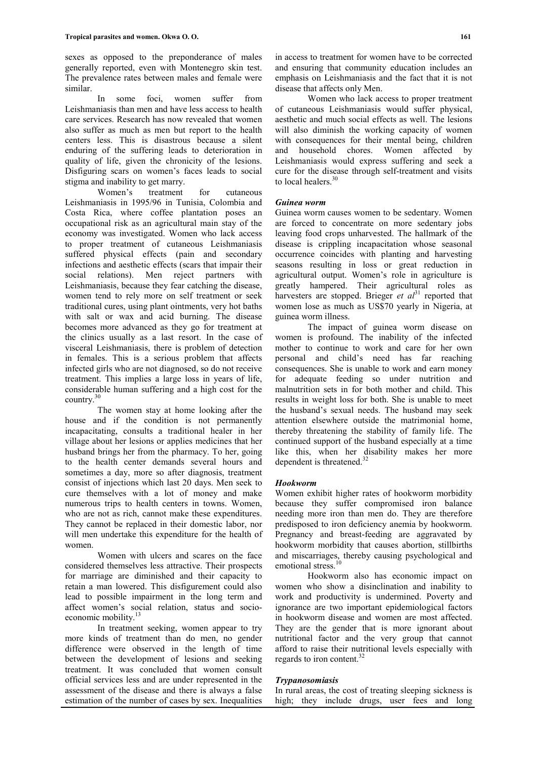sexes as opposed to the preponderance of males generally reported, even with Montenegro skin test. The prevalence rates between males and female were similar.

In some foci, women suffer from Leishmaniasis than men and have less access to health care services. Research has now revealed that women also suffer as much as men but report to the health centers less. This is disastrous because a silent enduring of the suffering leads to deterioration in quality of life, given the chronicity of the lesions. Disfiguring scars on women's faces leads to social stigma and inability to get marry.

Women's treatment for cutaneous Leishmaniasis in 1995/96 in Tunisia, Colombia and Costa Rica, where coffee plantation poses an occupational risk as an agricultural main stay of the economy was investigated. Women who lack access to proper treatment of cutaneous Leishmaniasis suffered physical effects (pain and secondary infections and aesthetic effects (scars that impair their social relations). Men reject partners with Leishmaniasis, because they fear catching the disease, women tend to rely more on self treatment or seek traditional cures, using plant ointments, very hot baths with salt or wax and acid burning. The disease becomes more advanced as they go for treatment at the clinics usually as a last resort. In the case of visceral Leishmaniasis, there is problem of detection in females. This is a serious problem that affects infected girls who are not diagnosed, so do not receive treatment. This implies a large loss in years of life, considerable human suffering and a high cost for the country.<sup>30</sup>

The women stay at home looking after the house and if the condition is not permanently incapacitating, consults a traditional healer in her village about her lesions or applies medicines that her husband brings her from the pharmacy. To her, going to the health center demands several hours and sometimes a day, more so after diagnosis, treatment consist of injections which last 20 days. Men seek to cure themselves with a lot of money and make numerous trips to health centers in towns. Women, who are not as rich, cannot make these expenditures. They cannot be replaced in their domestic labor, nor will men undertake this expenditure for the health of women.

Women with ulcers and scares on the face considered themselves less attractive. Their prospects for marriage are diminished and their capacity to retain a man lowered. This disfigurement could also lead to possible impairment in the long term and affect women's social relation, status and socioeconomic mobility.<sup>13</sup>

In treatment seeking, women appear to try more kinds of treatment than do men, no gender difference were observed in the length of time between the development of lesions and seeking treatment. It was concluded that women consult official services less and are under represented in the assessment of the disease and there is always a false estimation of the number of cases by sex. Inequalities

in access to treatment for women have to be corrected and ensuring that community education includes an emphasis on Leishmaniasis and the fact that it is not disease that affects only Men.

Women who lack access to proper treatment of cutaneous Leishmaniasis would suffer physical, aesthetic and much social effects as well. The lesions will also diminish the working capacity of women with consequences for their mental being, children and household chores. Women affected by Leishmaniasis would express suffering and seek a cure for the disease through self-treatment and visits to local healers.<sup>30</sup>

## *Guinea worm*

Guinea worm causes women to be sedentary. Women are forced to concentrate on more sedentary jobs leaving food crops unharvested. The hallmark of the disease is crippling incapacitation whose seasonal occurrence coincides with planting and harvesting seasons resulting in loss or great reduction in agricultural output. Women's role in agriculture is greatly hampered. Their agricultural roles as harvesters are stopped. Brieger *et al*<sup>31</sup> reported that women lose as much as US\$70 yearly in Nigeria, at guinea worm illness.

The impact of guinea worm disease on women is profound. The inability of the infected mother to continue to work and care for her own personal and child's need has far reaching consequences. She is unable to work and earn money for adequate feeding so under nutrition and malnutrition sets in for both mother and child. This results in weight loss for both. She is unable to meet the husband's sexual needs. The husband may seek attention elsewhere outside the matrimonial home, thereby threatening the stability of family life. The continued support of the husband especially at a time like this, when her disability makes her more dependent is threatened.<sup>3</sup>

## *Hookworm*

Women exhibit higher rates of hookworm morbidity because they suffer compromised iron balance needing more iron than men do. They are therefore predisposed to iron deficiency anemia by hookworm. Pregnancy and breast-feeding are aggravated by hookworm morbidity that causes abortion, stillbirths and miscarriages, thereby causing psychological and emotional stress.<sup>1</sup>

Hookworm also has economic impact on women who show a disinclination and inability to work and productivity is undermined. Poverty and ignorance are two important epidemiological factors in hookworm disease and women are most affected. They are the gender that is more ignorant about nutritional factor and the very group that cannot afford to raise their nutritional levels especially with regards to iron content.<sup>32</sup>

#### *Trypanosomiasis*

In rural areas, the cost of treating sleeping sickness is high; they include drugs, user fees and long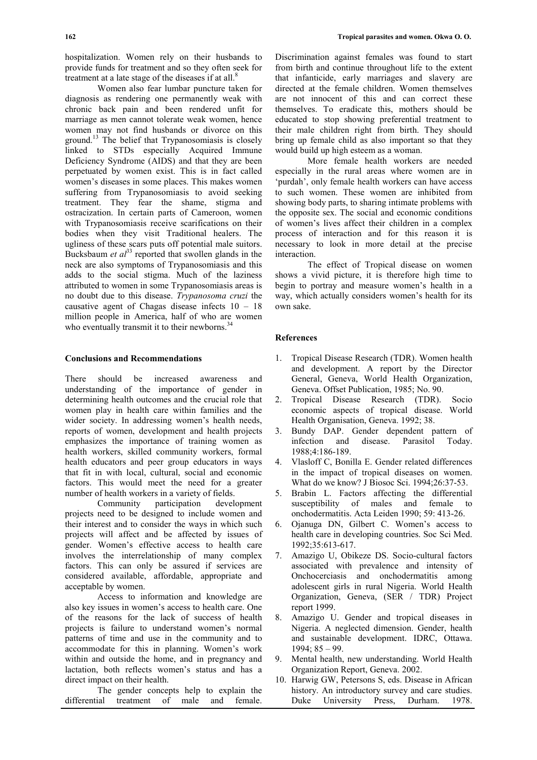hospitalization. Women rely on their husbands to provide funds for treatment and so they often seek for treatment at a late stage of the diseases if at all. $8$ 

Women also fear lumbar puncture taken for diagnosis as rendering one permanently weak with chronic back pain and been rendered unfit for marriage as men cannot tolerate weak women, hence women may not find husbands or divorce on this ground.<sup>13</sup> The belief that Trypanosomiasis is closely linked to STDs especially Acquired Immune Deficiency Syndrome (AIDS) and that they are been perpetuated by women exist. This is in fact called women's diseases in some places. This makes women suffering from Trypanosomiasis to avoid seeking treatment. They fear the shame, stigma and ostracization. In certain parts of Cameroon, women with Trypanosomiasis receive scarifications on their bodies when they visit Traditional healers. The ugliness of these scars puts off potential male suitors. Bucksbaum *et al*<sup>33</sup> reported that swollen glands in the neck are also symptoms of Trypanosomiasis and this adds to the social stigma. Much of the laziness attributed to women in some Trypanosomiasis areas is no doubt due to this disease. *Trypanosoma cruzi* the causative agent of Chagas disease infects 10 – 18 million people in America, half of who are women who eventually transmit it to their newborns.<sup>34</sup>

## **Conclusions and Recommendations**

There should be increased awareness and understanding of the importance of gender in determining health outcomes and the crucial role that women play in health care within families and the wider society. In addressing women's health needs, reports of women, development and health projects emphasizes the importance of training women as health workers, skilled community workers, formal health educators and peer group educators in ways that fit in with local, cultural, social and economic factors. This would meet the need for a greater number of health workers in a variety of fields.

Community participation development projects need to be designed to include women and their interest and to consider the ways in which such projects will affect and be affected by issues of gender. Women's effective access to health care involves the interrelationship of many complex factors. This can only be assured if services are considered available, affordable, appropriate and acceptable by women.

Access to information and knowledge are also key issues in women's access to health care. One of the reasons for the lack of success of health projects is failure to understand women's normal patterns of time and use in the community and to accommodate for this in planning. Women's work within and outside the home, and in pregnancy and lactation, both reflects women's status and has a direct impact on their health.

The gender concepts help to explain the differential treatment of male and female.

Discrimination against females was found to start from birth and continue throughout life to the extent that infanticide, early marriages and slavery are directed at the female children. Women themselves are not innocent of this and can correct these themselves. To eradicate this, mothers should be educated to stop showing preferential treatment to their male children right from birth. They should bring up female child as also important so that they would build up high esteem as a woman.

More female health workers are needed especially in the rural areas where women are in 'purdah', only female health workers can have access to such women. These women are inhibited from showing body parts, to sharing intimate problems with the opposite sex. The social and economic conditions of women's lives affect their children in a complex process of interaction and for this reason it is necessary to look in more detail at the precise interaction.

The effect of Tropical disease on women shows a vivid picture, it is therefore high time to begin to portray and measure women's health in a way, which actually considers women's health for its own sake.

## **References**

- 1. Tropical Disease Research (TDR). Women health and development. A report by the Director General, Geneva, World Health Organization, Geneva. Offset Publication, 1985; No. 90.
- 2. Tropical Disease Research (TDR). Socio economic aspects of tropical disease. World Health Organisation, Geneva. 1992; 38.
- 3. Bundy DAP. Gender dependent pattern of infection and disease. Parasitol Today. 1988;4:186-189.
- 4. Vlasloff C, Bonilla E. Gender related differences in the impact of tropical diseases on women. What do we know? J Biosoc Sci. 1994;26:37-53.
- 5. Brabin L. Factors affecting the differential susceptibility of males and female to onchodermatitis. Acta Leiden 1990; 59: 413-26.
- 6. Ojanuga DN, Gilbert C. Women's access to health care in developing countries. Soc Sci Med. 1992;35:613-617.
- 7. Amazigo U, Obikeze DS. Socio-cultural factors associated with prevalence and intensity of Onchocerciasis and onchodermatitis among adolescent girls in rural Nigeria. World Health Organization, Geneva, (SER / TDR) Project report 1999.
- 8. Amazigo U. Gender and tropical diseases in Nigeria. A neglected dimension. Gender, health and sustainable development. IDRC, Ottawa. 1994; 85 – 99.
- 9. Mental health, new understanding. World Health Organization Report, Geneva. 2002.
- 10. Harwig GW, Petersons S, eds. Disease in African history. An introductory survey and care studies. Duke University Press, Durham. 1978.